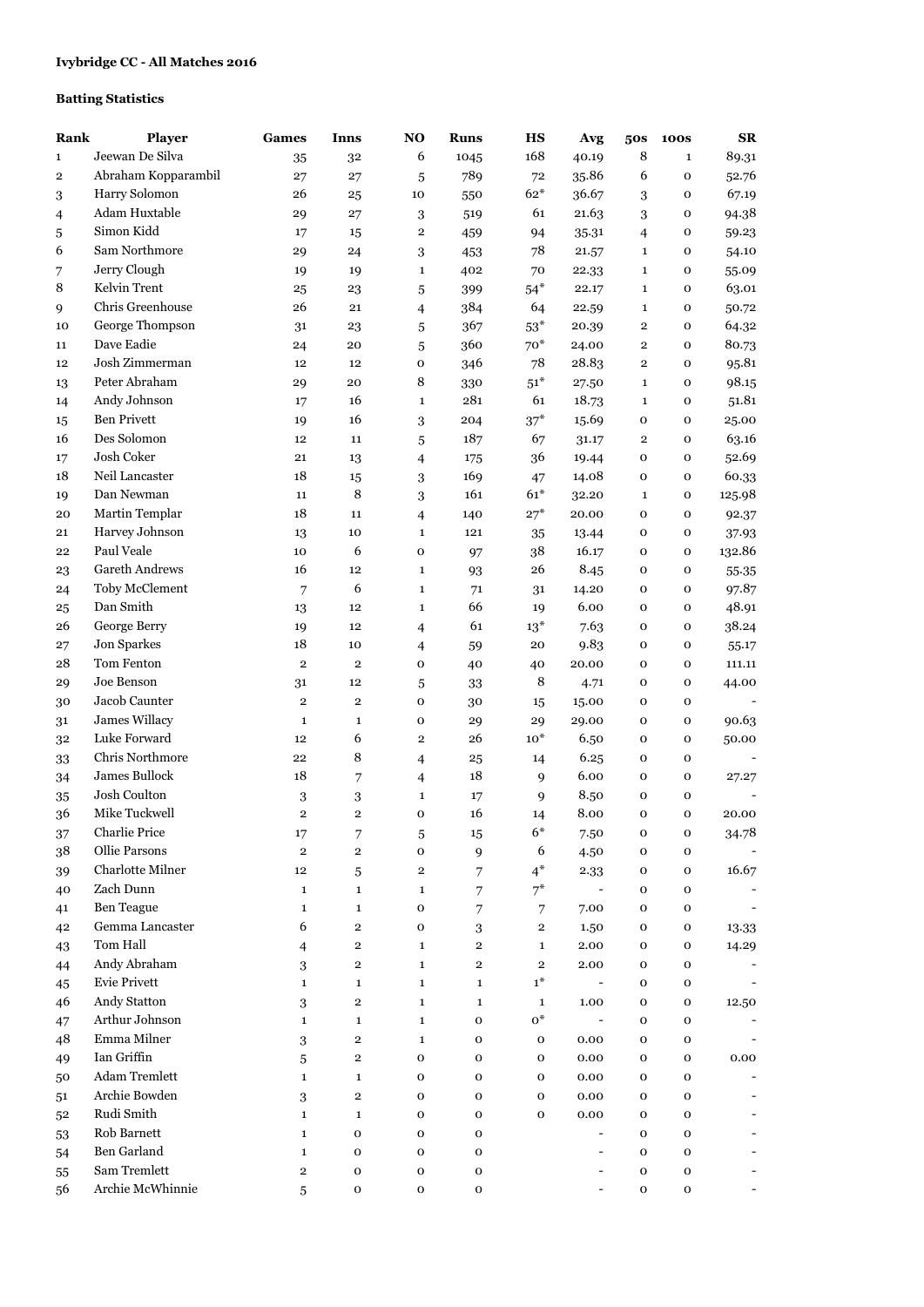## **Batting Statistics**

| Rank     | <b>Player</b>           | Games                       | Inns                        | N <sub>O</sub>                | <b>Runs</b>    | <b>HS</b>                | Avg                              | 50s                     | <b>100S</b>                | SR     |
|----------|-------------------------|-----------------------------|-----------------------------|-------------------------------|----------------|--------------------------|----------------------------------|-------------------------|----------------------------|--------|
| 1        | Jeewan De Silva         | 35                          | 32                          | 6                             | 1045           | 168                      | 40.19                            | 8                       | $\mathbf{1}$               | 89.31  |
| 2        | Abraham Kopparambil     | 27                          | 27                          | 5                             | 789            | 72                       | 35.86                            | 6                       | $\mathbf{o}$               | 52.76  |
| 3        | Harry Solomon           | 26                          | 25                          | 10                            | 550            | $62*$                    | 36.67                            | 3                       | O                          | 67.19  |
| 4        | Adam Huxtable           | 29                          | 27                          | 3                             | 519            | 61                       | 21.63                            | 3                       | o                          | 94.38  |
| 5        | Simon Kidd              | 17                          | 15                          | $\overline{2}$                | 459            | 94                       | 35.31                            | 4                       | o                          | 59.23  |
| 6        | Sam Northmore           | 29                          | 24                          | 3                             | 453            | 78                       | 21.57                            | $\mathbf{1}$            | o                          | 54.10  |
| 7        | Jerry Clough            | 19                          | 19                          | $\mathbf{1}$                  | 402            | 70                       | 22.33                            | $\mathbf{1}$            | o                          | 55.09  |
| 8        | Kelvin Trent            | 25                          | 23                          | 5                             | 399            | $54*$                    | 22.17                            | $\mathbf{1}$            | $\mathbf O$                | 63.01  |
| 9        | Chris Greenhouse        | 26                          | 21                          | $\overline{\mathcal{L}}$      | 384            | 64                       | 22.59                            | $\mathbf{1}$            | $\mathbf O$                | 50.72  |
| 10       | George Thompson         | 31                          | 23                          | 5                             | 367            | $53^{\ast}$              | 20.39                            | $\overline{\mathbf{2}}$ | $\mathbf O$                | 64.32  |
| 11       | Dave Eadie              | 24                          | 20                          | 5                             | 360            | $70*$                    | 24.00                            | $\mathbf 2$             | $\mathbf O$                | 80.73  |
| 12       | Josh Zimmerman          | 12                          | 12                          | 0                             | 346            | 78                       | 28.83                            | $\mathbf 2$             | $\mathbf O$                | 95.81  |
| 13       | Peter Abraham           | 29                          | 20                          | 8                             | 330            | $51^{\rm{*}}$            | 27.50                            | $\mathbf{1}$            | $\mathbf{o}$               | 98.15  |
| 14       | Andy Johnson            | 17                          | 16                          | $\mathbf{1}$                  | 281            | 61                       | 18.73                            | $\mathbf 1$             | $\mathbf O$                | 51.81  |
| 15       | <b>Ben Privett</b>      | 19                          | 16                          | 3                             | 204            | $37*$                    | 15.69                            | 0                       | $\mathbf{o}$               | 25.00  |
| 16       | Des Solomon             | 12                          | 11                          | 5                             | 187            | 67                       | 31.17                            | $\overline{2}$          | $\mathbf{o}$               | 63.16  |
| 17       | Josh Coker              | 21                          | 13                          | 4                             | 175            | 36                       | 19.44                            | $\mathbf 0$             | $\mathbf{o}$               | 52.69  |
| 18       | Neil Lancaster          | 18                          | 15                          | 3                             | 169            | 47                       | 14.08                            | 0                       | $\mathbf O$                | 60.33  |
| 19       | Dan Newman              | 11                          | 8                           | 3                             | 161            | $61*$                    | 32.20                            | $\mathbf{1}$            | $\mathbf O$                | 125.98 |
| 20       | Martin Templar          | 18                          | 11                          | 4                             | 140            | $27*$                    | 20.00                            | 0                       | $\mathbf O$                | 92.37  |
| 21       | Harvey Johnson          | 13                          | 10                          | $\mathbf{1}$                  | 121            | 35                       | 13.44                            | 0                       | o                          | 37.93  |
| 22       | Paul Veale              | 10                          | 6                           | 0                             | 97             | 38                       | 16.17                            | 0                       | $\mathbf O$                | 132.86 |
| 23       | <b>Gareth Andrews</b>   | 16                          | 12                          | $\mathbf{1}$                  | 93             | 26                       | 8.45                             | 0                       | o                          | 55.35  |
| 24       | Toby McClement          | 7                           | 6                           | $\mathbf{1}$                  | 71             | 31                       | 14.20                            | 0                       | $\mathbf O$                | 97.87  |
| 25       | Dan Smith               | 13                          | 12                          | $\mathbf{1}$                  | 66             | 19                       | 6.00                             | $\mathbf{o}$            | $\mathbf O$                | 48.91  |
| 26       | George Berry            | 19                          | 12                          | $\overline{4}$                | 61             | $13^*$                   | 7.63                             | o                       | $\mathbf 0$                | 38.24  |
| 27       | Jon Sparkes             | 18                          | 10                          | $\overline{4}$                | 59             | 20                       | 9.83                             | $\mathbf{o}$            | $\mathbf{o}$               | 55.17  |
| 28       | Tom Fenton              | $\overline{2}$              | $\overline{2}$              | 0                             | 40             | 40                       | 20.00                            | $\mathbf{o}$            | $\mathbf O$                | 111.11 |
| 29       | Joe Benson              | 31                          | 12                          |                               | 33             | 8                        | 4.71                             | 0                       | 0                          | 44.00  |
| 30       | Jacob Caunter           | $\overline{2}$              | $\overline{2}$              | $\,$ 5 $\,$<br>0              | 30             | 15                       | 15.00                            | $\mathbf{o}$            | $\mathbf{o}$               |        |
|          | James Willacy           | $\mathbf 1$                 | 1                           | 0                             | 29             | 29                       | 29.00                            | 0                       | $\mathbf O$                | 90.63  |
| 31       | Luke Forward            | 12                          | 6                           | $\mathbf 2$                   | 26             | $10*$                    | 6.50                             | 0                       | 0                          | 50.00  |
| 32       | Chris Northmore         | 22                          | 8                           |                               | 25             | 14                       | 6.25                             | 0                       | $\mathbf{o}$               |        |
| 33       | James Bullock           | 18                          | 7                           | $\overline{4}$                | 18             | 9                        | 6.00                             | 0                       | 0                          | 27.27  |
| 34       | Josh Coulton            |                             |                             | $\overline{4}$<br>$\mathbf 1$ |                |                          | 8.50                             | O                       |                            |        |
| 35<br>36 | Mike Tuckwell           | 3<br>$\overline{2}$         | 3<br>$\overline{2}$         | $\mathbf 0$                   | 17<br>16       | 9<br>14                  | 8.00                             | $\mathbf{O}$            | 0<br>$\mathbf{o}$          | 20.00  |
|          | Charlie Price           |                             |                             |                               |                | $6*$                     |                                  |                         |                            |        |
| 37       | Ollie Parsons           | $17\,$<br>$\mathbf 2$       | 7<br>$\mathbf 2$            | $\sqrt{5}$<br>$\mathbf{o}$    | 15             | 6                        | $7.50\,$                         | o                       | o                          | 34.78  |
| 38       | <b>Charlotte Milner</b> |                             |                             |                               | $\mathbf{9}$   | $4^*$                    | 4.50                             | 0                       | o                          |        |
| 39       | Zach Dunn               | $12 \,$                     | 5                           | $\mathbf{2}$                  | 7              | $7^*$                    | 2.33<br>$\overline{\phantom{a}}$ | 0                       | $\mathbf O$                | 16.67  |
| 40       | <b>Ben Teague</b>       | $\mathbf 1$<br>$\mathbf{1}$ | $\mathbf 1$<br>$\mathbf{1}$ | $\mathbf{1}$<br>0             | 7              |                          |                                  | 0<br>0                  | $\mathbf O$<br>$\mathbf O$ |        |
| 41       | Gemma Lancaster         | 6                           | $\mathbf{2}$                |                               | 7              | $\overline{7}$           | 7.00                             |                         |                            |        |
| 42       | Tom Hall                |                             |                             | 0                             | 3              | $\,2$                    | 1.50                             | 0                       | $\mathbf O$                | 13.33  |
| 43       | Andy Abraham            | $\overline{4}$              | $\mathbf 2$                 | $\mathbf{1}$                  | $\mathbf 2$    | $\mathbf{1}$             | 2.00                             | 0                       | $\mathbf O$                | 14.29  |
| 44       | Evie Privett            | 3                           | $\overline{2}$              | $\mathbf{1}$                  | $\overline{2}$ | $\mathbf{2}$<br>$1^\ast$ | 2.00<br>$\overline{\phantom{a}}$ | 0                       | $\mathbf O$                |        |
| 45       | Andy Statton            | $\mathbf 1$                 | $\mathbf{1}$                | $\mathbf{1}$                  | $\mathbf{1}$   |                          |                                  | 0                       | $\mathbf O$                |        |
| 46       |                         | $\,3$                       | $\mathbf{2}$                | $\mathbf{1}$                  | $\mathbf{1}$   | $\mathbf{1}$             | 1.00                             | 0                       | o                          | 12.50  |
| 47       | Arthur Johnson          | $\mathbf 1$                 | $\mathbf{1}$                | $\mathbf{1}$                  | $\mathbf 0$    | $0^*$                    | $\overline{\phantom{a}}$         | 0                       | $\mathbf 0$                |        |
| 48       | Emma Milner             | 3                           | $\mathbf 2$                 | $\mathbf{1}$                  | $\mathbf 0$    | $\mathbf 0$              | 0.00                             | 0                       | $\mathbf 0$                |        |
| 49       | Ian Griffin             | 5                           | $\mathbf 2$                 | 0                             | $\mathbf 0$    | $\mathbf 0$              | $0.00\,$                         | 0                       | $\mathbf O$                | 0.00   |
| 50       | <b>Adam Tremlett</b>    | $\mathbf 1$                 | $\mathbf{1}$                | 0                             | $\mathbf 0$    | $\mathbf 0$              | $0.00\,$                         | 0                       | $\mathbf{o}$               |        |
| 51       | Archie Bowden           | 3                           | $\mathbf{2}$                | o                             | $\mathbf 0$    | $\mathbf 0$              | $0.00\,$                         | 0                       | $\mathbf{o}$               |        |
| 52       | Rudi Smith              | $\mathbf 1$                 | $\mathbf{1}$                | $\mathbf 0$                   | $\mathbf 0$    | $\mathbf 0$              | $0.00\,$                         | 0                       | $\mathbf{o}$               |        |
| 53       | Rob Barnett             | $\mathbf 1$                 | $\mathbf O$                 | o                             | $\mathbf 0$    |                          | $\overline{\phantom{a}}$         | 0                       | $\mathbf{o}$               |        |
| 54       | Ben Garland             | $\mathbf{1}$                | $\mathbf 0$                 | $\mathbf 0$                   | $\mathbf 0$    |                          |                                  | $\mathbf{o}$            | $\mathbf{o}$               |        |
| 55       | Sam Tremlett            | $\,2$                       | $\mathbf 0$                 | $\mathbf 0$                   | $\mathbf{o}$   |                          |                                  | $\mathbf{o}$            | $\mathbf O$                |        |
| 56       | Archie McWhinnie        | 5                           | $\mathbf O$                 | $\mathbf{o}$                  | $\mathbf 0$    |                          |                                  | $\mathbf{o}$            | $\mathbf{o}$               |        |